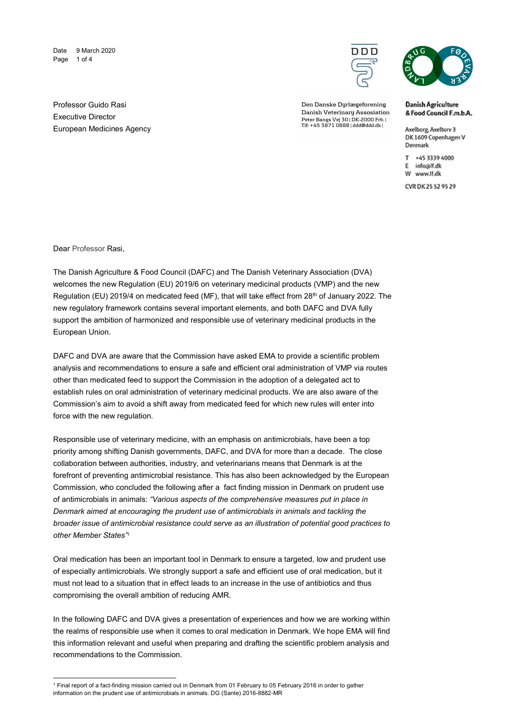Date 9 March 2020 Page 1 of 4



Den Danske Dyrlægeforening Danish Veterinary Assosiation Peter Bangs Vej 30 | DK-2000 Frb. |<br>Tlf: +45 3871 0888 | ddd@ddd.dk |



**Danish Agriculture** & Food Council F.m.b.A.

Axelborg, Axeltory 3 DK 1609 Copenhagen V Denmark

T +45 3339 4000 E info@lf.dk W www.lf.dk

CVR DK 25 52 95 29

Professor Guido Rasi Executive Director European Medicines Agency

Dear Professor Rasi,

1

The Danish Agriculture & Food Council (DAFC) and The Danish Veterinary Association (DVA) welcomes the new Regulation (EU) 2019/6 on veterinary medicinal products (VMP) and the new Regulation (EU) 2019/4 on medicated feed (MF), that will take effect from 28<sup>th</sup> of January 2022. The new regulatory framework contains several important elements, and both DAFC and DVA fully support the ambition of harmonized and responsible use of veterinary medicinal products in the European Union.

DAFC and DVA are aware that the Commission have asked EMA to provide a scientific problem analysis and recommendations to ensure a safe and efficient oral administration of VMP via routes other than medicated feed to support the Commission in the adoption of a delegated act to establish rules on oral administration of veterinary medicinal products. We are also aware of the Commission's aim to avoid a shift away from medicated feed for which new rules will enter into force with the new regulation.

Responsible use of veterinary medicine, with an emphasis on antimicrobials, have been a top priority among shifting Danish governments, DAFC, and DVA for more than a decade. The close collaboration between authorities, industry, and veterinarians means that Denmark is at the forefront of preventing antimicrobial resistance. This has also been acknowledged by the European Commission, who concluded the following after a fact finding mission in Denmark on prudent use of antimicrobials in animals: "Various aspects of the comprehensive measures put in place in Denmark aimed at encouraging the prudent use of antimicrobials in animals and tackling the broader issue of antimicrobial resistance could serve as an illustration of potential good practices to other Member States"<sup>1</sup>

Oral medication has been an important tool in Denmark to ensure a targeted, low and prudent use of especially antimicrobials. We strongly support a safe and efficient use of oral medication, but it must not lead to a situation that in effect leads to an increase in the use of antibiotics and thus compromising the overall ambition of reducing AMR.

In the following DAFC and DVA gives a presentation of experiences and how we are working within the realms of responsible use when it comes to oral medication in Denmark. We hope EMA will find this information relevant and useful when preparing and drafting the scientific problem analysis and recommendations to the Commission.

<sup>1</sup> Final report of a fact-finding mission carried out in Denmark from 01 February to 05 February 2016 in order to gather information on the prudent use of antimicrobials in animals. DG (Sante) 2016-8882-MR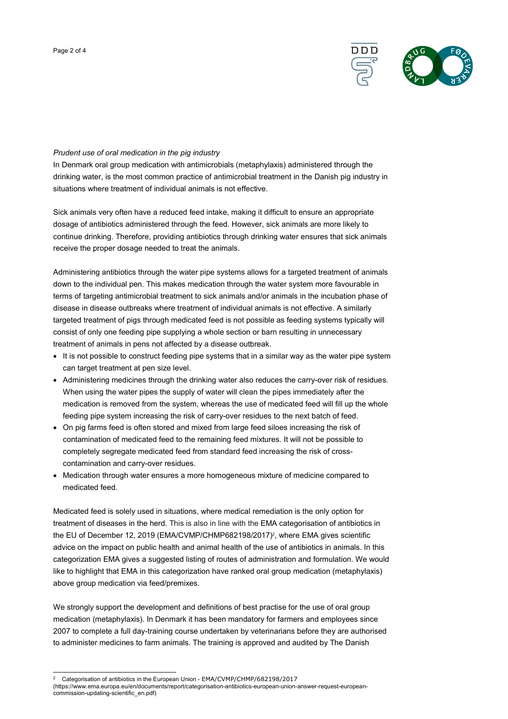

## Prudent use of oral medication in the pig industry

In Denmark oral group medication with antimicrobials (metaphylaxis) administered through the drinking water, is the most common practice of antimicrobial treatment in the Danish pig industry in situations where treatment of individual animals is not effective.

Sick animals very often have a reduced feed intake, making it difficult to ensure an appropriate dosage of antibiotics administered through the feed. However, sick animals are more likely to continue drinking. Therefore, providing antibiotics through drinking water ensures that sick animals receive the proper dosage needed to treat the animals.

Administering antibiotics through the water pipe systems allows for a targeted treatment of animals down to the individual pen. This makes medication through the water system more favourable in terms of targeting antimicrobial treatment to sick animals and/or animals in the incubation phase of disease in disease outbreaks where treatment of individual animals is not effective. A similarly targeted treatment of pigs through medicated feed is not possible as feeding systems typically will consist of only one feeding pipe supplying a whole section or barn resulting in unnecessary treatment of animals in pens not affected by a disease outbreak.

- It is not possible to construct feeding pipe systems that in a similar way as the water pipe system can target treatment at pen size level.
- Administering medicines through the drinking water also reduces the carry-over risk of residues. When using the water pipes the supply of water will clean the pipes immediately after the medication is removed from the system, whereas the use of medicated feed will fill up the whole feeding pipe system increasing the risk of carry-over residues to the next batch of feed.
- On pig farms feed is often stored and mixed from large feed siloes increasing the risk of contamination of medicated feed to the remaining feed mixtures. It will not be possible to completely segregate medicated feed from standard feed increasing the risk of crosscontamination and carry-over residues.
- Medication through water ensures a more homogeneous mixture of medicine compared to medicated feed.

Medicated feed is solely used in situations, where medical remediation is the only option for treatment of diseases in the herd. This is also in line with the EMA categorisation of antibiotics in the EU of December 12, 2019 (EMA/CVMP/CHMP682198/2017)<sup>2</sup>, where EMA gives scientific advice on the impact on public health and animal health of the use of antibiotics in animals. In this categorization EMA gives a suggested listing of routes of administration and formulation. We would like to highlight that EMA in this categorization have ranked oral group medication (metaphylaxis) above group medication via feed/premixes.

We strongly support the development and definitions of best practise for the use of oral group medication (metaphylaxis). In Denmark it has been mandatory for farmers and employees since 2007 to complete a full day-training course undertaken by veterinarians before they are authorised to administer medicines to farm animals. The training is approved and audited by The Danish

-

<sup>2</sup> Categorisation of antibiotics in the European Union - EMA/CVMP/CHMP/682198/2017

<sup>(</sup>https://www.ema.europa.eu/en/documents/report/categorisation-antibiotics-european-union-answer-request-europeancommission-updating-scientific\_en.pdf)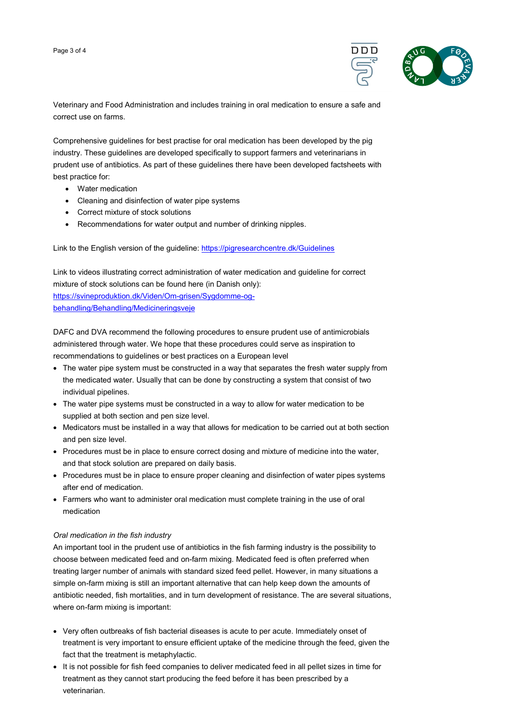

Veterinary and Food Administration and includes training in oral medication to ensure a safe and correct use on farms.

Comprehensive guidelines for best practise for oral medication has been developed by the pig industry. These guidelines are developed specifically to support farmers and veterinarians in prudent use of antibiotics. As part of these guidelines there have been developed factsheets with best practice for:

- Water medication
- Cleaning and disinfection of water pipe systems
- Correct mixture of stock solutions
- Recommendations for water output and number of drinking nipples.

Link to the English version of the guideline: https://pigresearchcentre.dk/Guidelines

Link to videos illustrating correct administration of water medication and guideline for correct mixture of stock solutions can be found here (in Danish only): https://svineproduktion.dk/Viden/Om-grisen/Sygdomme-ogbehandling/Behandling/Medicineringsveje

DAFC and DVA recommend the following procedures to ensure prudent use of antimicrobials administered through water. We hope that these procedures could serve as inspiration to recommendations to guidelines or best practices on a European level

- The water pipe system must be constructed in a way that separates the fresh water supply from the medicated water. Usually that can be done by constructing a system that consist of two individual pipelines.
- The water pipe systems must be constructed in a way to allow for water medication to be supplied at both section and pen size level.
- Medicators must be installed in a way that allows for medication to be carried out at both section and pen size level.
- Procedures must be in place to ensure correct dosing and mixture of medicine into the water, and that stock solution are prepared on daily basis.
- Procedures must be in place to ensure proper cleaning and disinfection of water pipes systems after end of medication.
- Farmers who want to administer oral medication must complete training in the use of oral medication

## Oral medication in the fish industry

An important tool in the prudent use of antibiotics in the fish farming industry is the possibility to choose between medicated feed and on-farm mixing. Medicated feed is often preferred when treating larger number of animals with standard sized feed pellet. However, in many situations a simple on-farm mixing is still an important alternative that can help keep down the amounts of antibiotic needed, fish mortalities, and in turn development of resistance. The are several situations, where on-farm mixing is important:

- Very often outbreaks of fish bacterial diseases is acute to per acute. Immediately onset of treatment is very important to ensure efficient uptake of the medicine through the feed, given the fact that the treatment is metaphylactic.
- It is not possible for fish feed companies to deliver medicated feed in all pellet sizes in time for treatment as they cannot start producing the feed before it has been prescribed by a veterinarian.